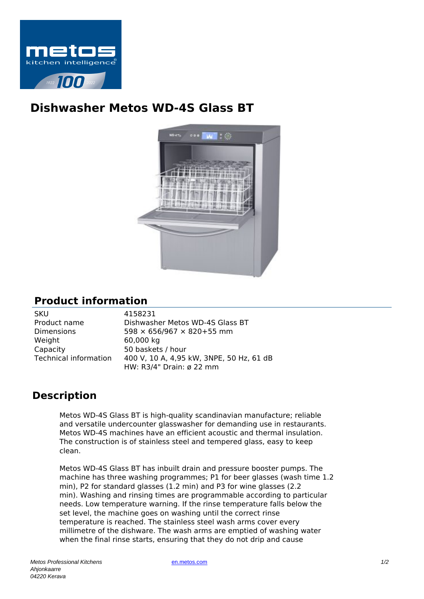

## **Dishwasher Metos WD-4S Glass BT**



## **Product information**

| SKU                          |
|------------------------------|
| Product name                 |
| Dimensions                   |
| Weight                       |
| Capacity                     |
| <b>Technical information</b> |
|                              |

4158231 Dishwasher Metos WD-4S Glass BT  $598 \times 656/967 \times 820 + 55$  mm 60,000 kg 50 baskets / hour 400 V, 10 A, 4,95 kW, 3NPE, 50 Hz, 61 dB HW: R3/4" Drain: ø 22 mm

## **Description**

Metos WD-4S Glass BT is high-quality scandinavian manufacture; reliable and versatile undercounter glasswasher for demanding use in restaurants. Metos WD-4S machines have an efficient acoustic and thermal insulation. The construction is of stainless steel and tempered glass, easy to keep clean.

Metos WD-4S Glass BT has inbuilt drain and pressure booster pumps. The machine has three washing programmes; P1 for beer glasses (wash time 1.2 min), P2 for standard glasses (1.2 min) and P3 for wine glasses (2.2 min). Washing and rinsing times are programmable according to particular needs. Low temperature warning. If the rinse temperature falls below the set level, the machine goes on washing until the correct rinse temperature is reached. The stainless steel wash arms cover every millimetre of the dishware. The wash arms are emptied of washing water when the final rinse starts, ensuring that they do not drip and cause